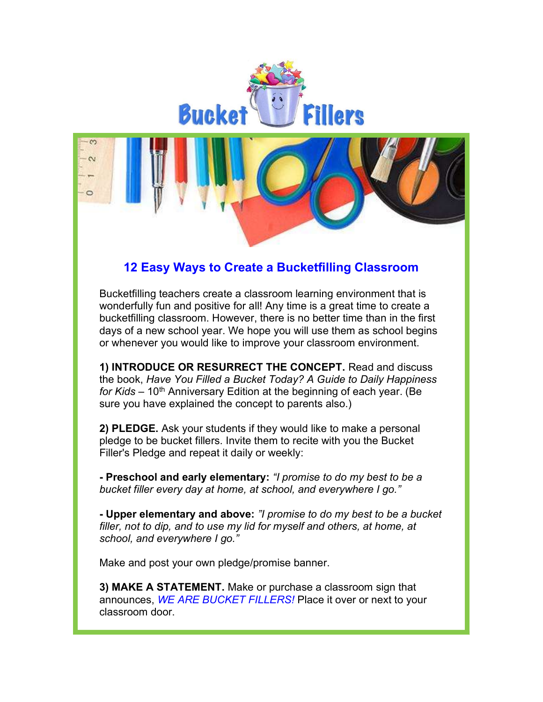

## 12 Easy Ways to Create a Bucketfilling Classroom

Bucketfilling teachers create a classroom learning environment that is wonderfully fun and positive for all! Any time is a great time to create a bucketfilling classroom. However, there is no better time than in the first days of a new school year. We hope you will use them as school begins or whenever you would like to improve your classroom environment.

1) INTRODUCE OR RESURRECT THE CONCEPT. Read and discuss the book, Have You Filled a Bucket Today? A Guide to Daily Happiness for Kids – 10<sup>th</sup> Anniversary Edition at the beginning of each year. (Be sure you have explained the concept to parents also.)

2) PLEDGE. Ask your students if they would like to make a personal pledge to be bucket fillers. Invite them to recite with you the Bucket Filler's Pledge and repeat it daily or weekly:

- Preschool and early elementary: "I promise to do my best to be a bucket filler every day at home, at school, and everywhere I go."

- Upper elementary and above: "I promise to do my best to be a bucket filler, not to dip, and to use my lid for myself and others, at home, at school, and everywhere I go."

Make and post your own pledge/promise banner.

3) MAKE A STATEMENT. Make or purchase a classroom sign that announces, WE ARE BUCKET FILLERS! Place it over or next to your classroom door.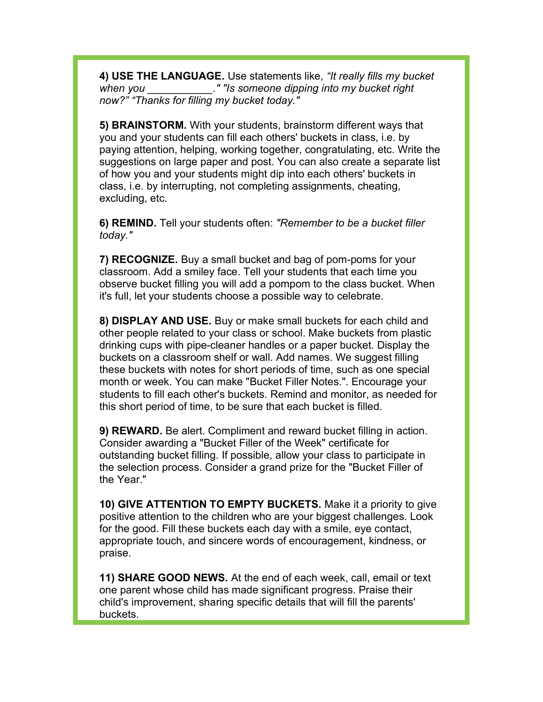4) USE THE LANGUAGE. Use statements like, "It really fills my bucket when you \_\_\_\_\_\_\_\_\_\_\_\_." "Is someone dipping into my bucket right now?" "Thanks for filling my bucket today."

5) BRAINSTORM. With your students, brainstorm different ways that you and your students can fill each others' buckets in class, i.e. by paying attention, helping, working together, congratulating, etc. Write the suggestions on large paper and post. You can also create a separate list of how you and your students might dip into each others' buckets in class, i.e. by interrupting, not completing assignments, cheating, excluding, etc.

6) REMIND. Tell your students often: "Remember to be a bucket filler today."

7) RECOGNIZE. Buy a small bucket and bag of pom-poms for your classroom. Add a smiley face. Tell your students that each time you observe bucket filling you will add a pompom to the class bucket. When it's full, let your students choose a possible way to celebrate.

8) DISPLAY AND USE. Buy or make small buckets for each child and other people related to your class or school. Make buckets from plastic drinking cups with pipe-cleaner handles or a paper bucket. Display the buckets on a classroom shelf or wall. Add names. We suggest filling these buckets with notes for short periods of time, such as one special month or week. You can make "Bucket Filler Notes.". Encourage your students to fill each other's buckets. Remind and monitor, as needed for this short period of time, to be sure that each bucket is filled.

9) REWARD. Be alert. Compliment and reward bucket filling in action. Consider awarding a "Bucket Filler of the Week" certificate for outstanding bucket filling. If possible, allow your class to participate in the selection process. Consider a grand prize for the "Bucket Filler of the Year."

10) GIVE ATTENTION TO EMPTY BUCKETS. Make it a priority to give positive attention to the children who are your biggest challenges. Look for the good. Fill these buckets each day with a smile, eye contact, appropriate touch, and sincere words of encouragement, kindness, or praise.

11) SHARE GOOD NEWS. At the end of each week, call, email or text one parent whose child has made significant progress. Praise their child's improvement, sharing specific details that will fill the parents' buckets.